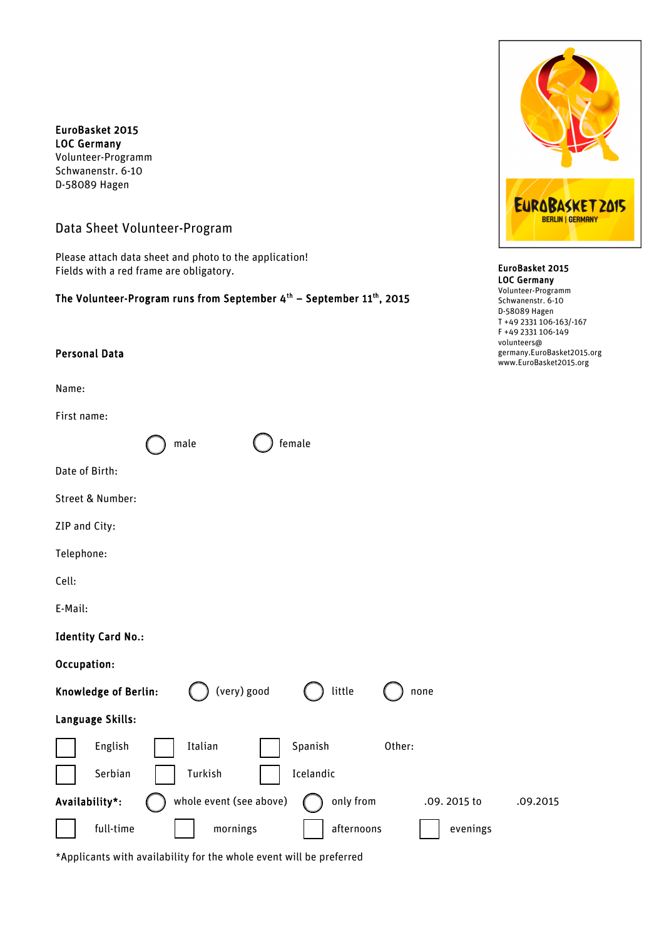EuroBasket 2015 LOC Germany Volunteer-Programm Schwanenstr. 6-10 D-58089 Hagen

# Data Sheet Volunteer-Program

Please attach data sheet and photo to the application! Fields with a red frame are obligatory.

## The Volunteer-Program runs from September 4<sup>th</sup> – September 11<sup>th</sup>, 2015

male () female

## Personal Data

Name:

First name:

Date of Birth:

Street & Number:

ZIP and City:

Telephone:

Cell:

E-Mail:

#### Identity Card No.:

### Occupation:

| Knowledge of Berlin: |         | (very) good             | little     | none        |          |
|----------------------|---------|-------------------------|------------|-------------|----------|
| Language Skills:     |         |                         |            |             |          |
| English              | Italian |                         | Spanish    | Other:      |          |
| Serbian              | Turkish |                         | Icelandic  |             |          |
| Availability*:       |         | whole event (see above) | only from  | .09.2015 to | .09.2015 |
| full-time            |         | mornings                | afternoons | evenings    |          |

\*Applicants with availability for the whole event will be preferred



#### EuroBasket 2015 LOC Germany

Volunteer-Programm Schwanenstr. 6-10 D-58089 Hagen T +49 2331 106-163/-167 F +49 2331 106-149 volunteers@ germany.EuroBasket2015.org www.EuroBasket2015.org